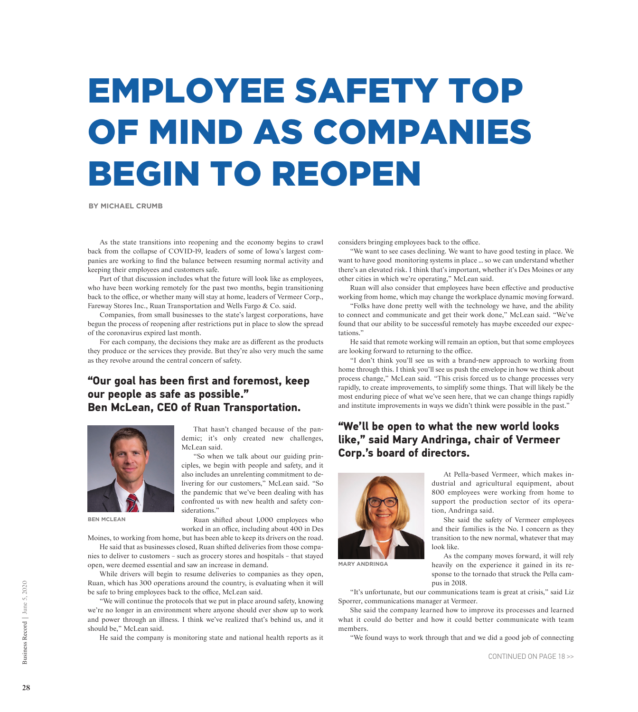# EMPLOYEE SAFETY TOP OF MIND AS COMPANIES BEGIN TO REOPEN

**BY MICHAEL CRUMB**

As the state transitions into reopening and the economy begins to crawl back from the collapse of COVID-19, leaders of some of Iowa's largest companies are working to find the balance between resuming normal activity and keeping their employees and customers safe.

Part of that discussion includes what the future will look like as employees, who have been working remotely for the past two months, begin transitioning back to the office, or whether many will stay at home, leaders of Vermeer Corp., Fareway Stores Inc., Ruan Transportation and Wells Fargo & Co. said.

Companies, from small businesses to the state's largest corporations, have begun the process of reopening after restrictions put in place to slow the spread of the coronavirus expired last month.

For each company, the decisions they make are as different as the products they produce or the services they provide. But they're also very much the same as they revolve around the central concern of safety.

## **"Our goal has been first and foremost, keep our people as safe as possible." Ben McLean, CEO of Ruan Transportation.**



**BEN MCLEAN**

That hasn't changed because of the pandemic; it's only created new challenges, McLean said.

"So when we talk about our guiding principles, we begin with people and safety, and it also includes an unrelenting commitment to delivering for our customers," McLean said. "So the pandemic that we've been dealing with has confronted us with new health and safety considerations."

Ruan shifted about 1,000 employees who worked in an office, including about 400 in Des

Moines, to working from home, but has been able to keep its drivers on the road. He said that as businesses closed, Ruan shifted deliveries from those companies to deliver to customers – such as grocery stores and hospitals – that stayed

open, were deemed essential and saw an increase in demand. While drivers will begin to resume deliveries to companies as they open,

Ruan, which has 300 operations around the country, is evaluating when it will be safe to bring employees back to the office, McLean said.

"We will continue the protocols that we put in place around safety, knowing we're no longer in an environment where anyone should ever show up to work and power through an illness. I think we've realized that's behind us, and it should be," McLean said.

He said the company is monitoring state and national health reports as it

considers bringing employees back to the office.

"We want to see cases declining. We want to have good testing in place. We want to have good monitoring systems in place … so we can understand whether there's an elevated risk. I think that's important, whether it's Des Moines or any other cities in which we're operating," McLean said.

Ruan will also consider that employees have been effective and productive working from home, which may change the workplace dynamic moving forward.

"Folks have done pretty well with the technology we have, and the ability to connect and communicate and get their work done," McLean said. "We've found that our ability to be successful remotely has maybe exceeded our expectations."

He said that remote working will remain an option, but that some employees are looking forward to returning to the office.

"I don't think you'll see us with a brand-new approach to working from home through this. I think you'll see us push the envelope in how we think about process change," McLean said. "This crisis forced us to change processes very rapidly, to create improvements, to simplify some things. That will likely be the most enduring piece of what we've seen here, that we can change things rapidly and institute improvements in ways we didn't think were possible in the past."

## **"We'll be open to what the new world looks like," said Mary Andringa, chair of Vermeer Corp.'s board of directors.**



**MARY ANDRINGA**

At Pella-based Vermeer, which makes industrial and agricultural equipment, about 800 employees were working from home to support the production sector of its operation, Andringa said.

She said the safety of Vermeer employees and their families is the No. 1 concern as they transition to the new normal, whatever that may look like.

As the company moves forward, it will rely heavily on the experience it gained in its response to the tornado that struck the Pella campus in 2018.

"It's unfortunate, but our communications team is great at crisis," said Liz Sporrer, communications manager at Vermeer.

She said the company learned how to improve its processes and learned what it could do better and how it could better communicate with team members.

"We found ways to work through that and we did a good job of connecting